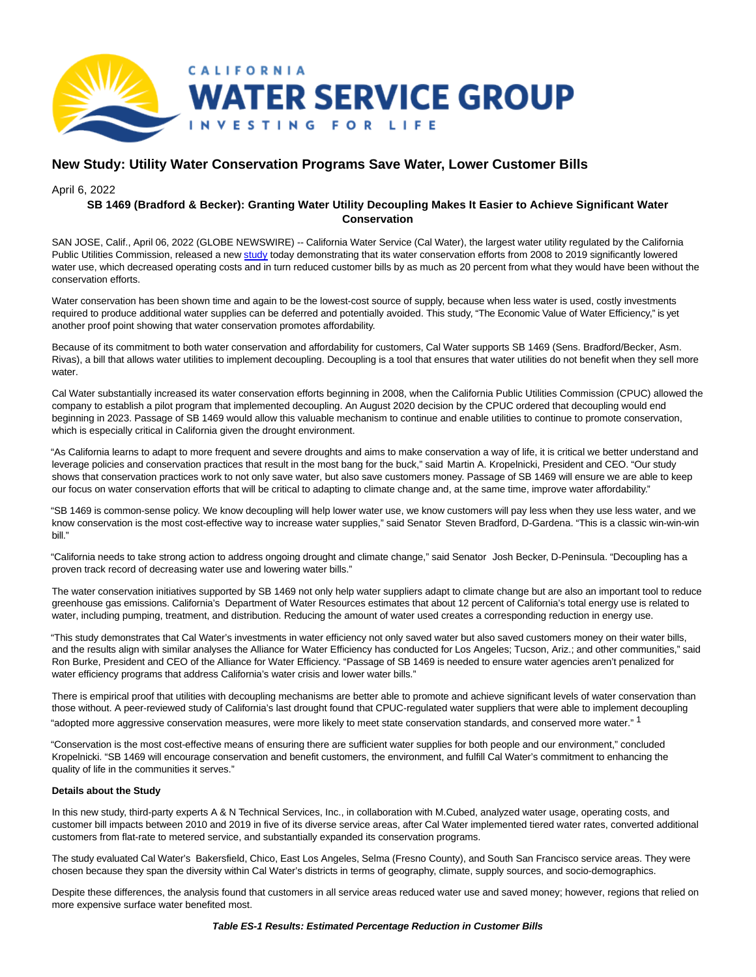

# **New Study: Utility Water Conservation Programs Save Water, Lower Customer Bills**

April 6, 2022

# **SB 1469 (Bradford & Becker): Granting Water Utility Decoupling Makes It Easier to Achieve Significant Water Conservation**

SAN JOSE, Calif., April 06, 2022 (GLOBE NEWSWIRE) -- California Water Service (Cal Water), the largest water utility regulated by the California Public Utilities Commission, released a new [study t](https://www.globenewswire.com/Tracker?data=1LDrXdOHCEQE-DvO6eY-MiLsIK_ZnH7_dtCxvFjiYFqA1Lty_UYzVQrsAO6G6_jK_p0HEWvsup7YXMEnL9yfimPVoxhOQn22MgfPBPHttnrfc0qrvsGDeJ7ZuH6LS62OGhrNrpCLcJmZZtkXbAxR5HKfE_D346kTvD7TRaSo1Ys=)oday demonstrating that its water conservation efforts from 2008 to 2019 significantly lowered water use, which decreased operating costs and in turn reduced customer bills by as much as 20 percent from what they would have been without the conservation efforts.

Water conservation has been shown time and again to be the lowest-cost source of supply, because when less water is used, costly investments required to produce additional water supplies can be deferred and potentially avoided. This study, "The Economic Value of Water Efficiency," is yet another proof point showing that water conservation promotes affordability.

Because of its commitment to both water conservation and affordability for customers, Cal Water supports SB 1469 (Sens. Bradford/Becker, Asm. Rivas), a bill that allows water utilities to implement decoupling. Decoupling is a tool that ensures that water utilities do not benefit when they sell more water.

Cal Water substantially increased its water conservation efforts beginning in 2008, when the California Public Utilities Commission (CPUC) allowed the company to establish a pilot program that implemented decoupling. An August 2020 decision by the CPUC ordered that decoupling would end beginning in 2023. Passage of SB 1469 would allow this valuable mechanism to continue and enable utilities to continue to promote conservation, which is especially critical in California given the drought environment.

"As California learns to adapt to more frequent and severe droughts and aims to make conservation a way of life, it is critical we better understand and leverage policies and conservation practices that result in the most bang for the buck," said Martin A. Kropelnicki, President and CEO. "Our study shows that conservation practices work to not only save water, but also save customers money. Passage of SB 1469 will ensure we are able to keep our focus on water conservation efforts that will be critical to adapting to climate change and, at the same time, improve water affordability."

"SB 1469 is common-sense policy. We know decoupling will help lower water use, we know customers will pay less when they use less water, and we know conservation is the most cost-effective way to increase water supplies," said Senator Steven Bradford, D-Gardena. "This is a classic win-win-win bill."

"California needs to take strong action to address ongoing drought and climate change," said Senator Josh Becker, D-Peninsula. "Decoupling has a proven track record of decreasing water use and lowering water bills."

The water conservation initiatives supported by SB 1469 not only help water suppliers adapt to climate change but are also an important tool to reduce greenhouse gas emissions. California's Department of Water Resources estimates that about 12 percent of California's total energy use is related to water, including pumping, treatment, and distribution. Reducing the amount of water used creates a corresponding reduction in energy use.

"This study demonstrates that Cal Water's investments in water efficiency not only saved water but also saved customers money on their water bills, and the results align with similar analyses the Alliance for Water Efficiency has conducted for Los Angeles; Tucson, Ariz.; and other communities," said Ron Burke, President and CEO of the Alliance for Water Efficiency. "Passage of SB 1469 is needed to ensure water agencies aren't penalized for water efficiency programs that address California's water crisis and lower water bills."

There is empirical proof that utilities with decoupling mechanisms are better able to promote and achieve significant levels of water conservation than those without. A peer-reviewed study of California's last drought found that CPUC-regulated water suppliers that were able to implement decoupling "adopted more aggressive conservation measures, were more likely to meet state conservation standards, and conserved more water." 1

"Conservation is the most cost-effective means of ensuring there are sufficient water supplies for both people and our environment," concluded Kropelnicki. "SB 1469 will encourage conservation and benefit customers, the environment, and fulfill Cal Water's commitment to enhancing the quality of life in the communities it serves."

## **Details about the Study**

In this new study, third-party experts A & N Technical Services, Inc., in collaboration with M.Cubed, analyzed water usage, operating costs, and customer bill impacts between 2010 and 2019 in five of its diverse service areas, after Cal Water implemented tiered water rates, converted additional customers from flat-rate to metered service, and substantially expanded its conservation programs.

The study evaluated Cal Water's Bakersfield, Chico, East Los Angeles, Selma (Fresno County), and South San Francisco service areas. They were chosen because they span the diversity within Cal Water's districts in terms of geography, climate, supply sources, and socio-demographics.

Despite these differences, the analysis found that customers in all service areas reduced water use and saved money; however, regions that relied on more expensive surface water benefited most.

#### **Table ES-1 Results: Estimated Percentage Reduction in Customer Bills**